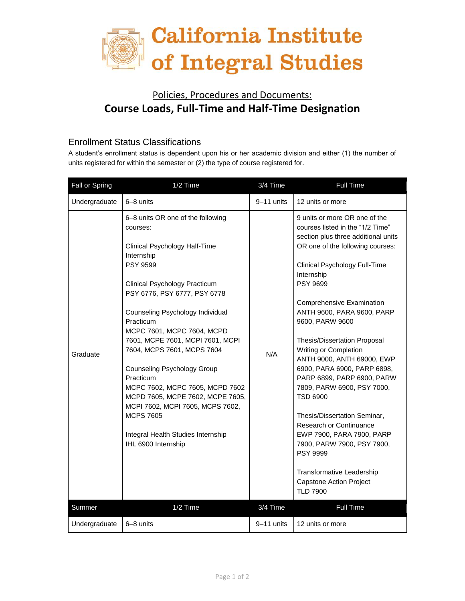

# Policies, Procedures and Documents: **Course Loads, Full-Time and Half-Time Designation**

### Enrollment Status Classifications

A student's enrollment status is dependent upon his or her academic division and either (1) the number of units registered for within the semester or (2) the type of course registered for.

| Fall or Spring | 1/2 Time                                                                                                                                                                                                                                                                                                                                                                                                                                                                                                                                                                  | 3/4 Time   | <b>Full Time</b>                                                                                                                                                                                                                                                                                                                                                                                                                                                                                                                                                                                                                                                                                                                    |
|----------------|---------------------------------------------------------------------------------------------------------------------------------------------------------------------------------------------------------------------------------------------------------------------------------------------------------------------------------------------------------------------------------------------------------------------------------------------------------------------------------------------------------------------------------------------------------------------------|------------|-------------------------------------------------------------------------------------------------------------------------------------------------------------------------------------------------------------------------------------------------------------------------------------------------------------------------------------------------------------------------------------------------------------------------------------------------------------------------------------------------------------------------------------------------------------------------------------------------------------------------------------------------------------------------------------------------------------------------------------|
| Undergraduate  | 6-8 units                                                                                                                                                                                                                                                                                                                                                                                                                                                                                                                                                                 | 9-11 units | 12 units or more                                                                                                                                                                                                                                                                                                                                                                                                                                                                                                                                                                                                                                                                                                                    |
| Graduate       | 6-8 units OR one of the following<br>courses:<br>Clinical Psychology Half-Time<br>Internship<br><b>PSY 9599</b><br>Clinical Psychology Practicum<br>PSY 6776, PSY 6777, PSY 6778<br>Counseling Psychology Individual<br>Practicum<br>MCPC 7601, MCPC 7604, MCPD<br>7601, MCPE 7601, MCPI 7601, MCPI<br>7604, MCPS 7601, MCPS 7604<br>Counseling Psychology Group<br>Practicum<br>MCPC 7602, MCPC 7605, MCPD 7602<br>MCPD 7605, MCPE 7602, MCPE 7605,<br>MCPI 7602, MCPI 7605, MCPS 7602,<br><b>MCPS 7605</b><br>Integral Health Studies Internship<br>IHL 6900 Internship | N/A        | 9 units or more OR one of the<br>courses listed in the "1/2 Time"<br>section plus three additional units<br>OR one of the following courses:<br>Clinical Psychology Full-Time<br>Internship<br><b>PSY 9699</b><br>Comprehensive Examination<br>ANTH 9600, PARA 9600, PARP<br>9600, PARW 9600<br><b>Thesis/Dissertation Proposal</b><br>Writing or Completion<br>ANTH 9000, ANTH 69000, EWP<br>6900, PARA 6900, PARP 6898,<br>PARP 6899, PARP 6900, PARW<br>7809, PARW 6900, PSY 7000,<br><b>TSD 6900</b><br>Thesis/Dissertation Seminar,<br>Research or Continuance<br>EWP 7900, PARA 7900, PARP<br>7900, PARW 7900, PSY 7900,<br><b>PSY 9999</b><br>Transformative Leadership<br><b>Capstone Action Project</b><br><b>TLD 7900</b> |
| Summer         | 1/2 Time                                                                                                                                                                                                                                                                                                                                                                                                                                                                                                                                                                  | 3/4 Time   | Full Time                                                                                                                                                                                                                                                                                                                                                                                                                                                                                                                                                                                                                                                                                                                           |
| Undergraduate  | 6-8 units                                                                                                                                                                                                                                                                                                                                                                                                                                                                                                                                                                 | 9-11 units | 12 units or more                                                                                                                                                                                                                                                                                                                                                                                                                                                                                                                                                                                                                                                                                                                    |